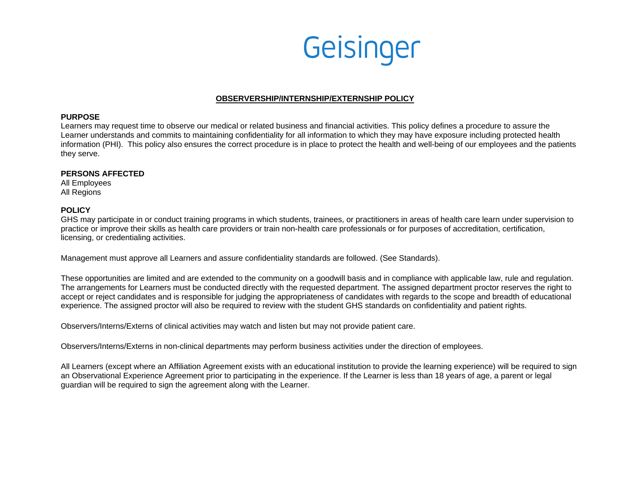

### **OBSERVERSHIP/INTERNSHIP/EXTERNSHIP POLICY**

#### **PURPOSE**

Learners may request time to observe our medical or related business and financial activities. This policy defines a procedure to assure the Learner understands and commits to maintaining confidentiality for all information to which they may have exposure including protected health information (PHI). This policy also ensures the correct procedure is in place to protect the health and well-being of our employees and the patients they serve.

#### **PERSONS AFFECTED**

All Employees All Regions

### **POLICY**

GHS may participate in or conduct training programs in which students, trainees, or practitioners in areas of health care learn under supervision to practice or improve their skills as health care providers or train non-health care professionals or for purposes of accreditation, certification, licensing, or credentialing activities.

Management must approve all Learners and assure confidentiality standards are followed. (See Standards).

These opportunities are limited and are extended to the community on a goodwill basis and in compliance with applicable law, rule and regulation. The arrangements for Learners must be conducted directly with the requested department. The assigned department proctor reserves the right to accept or reject candidates and is responsible for judging the appropriateness of candidates with regards to the scope and breadth of educational experience. The assigned proctor will also be required to review with the student GHS standards on confidentiality and patient rights.

Observers/Interns/Externs of clinical activities may watch and listen but may not provide patient care.

Observers/Interns/Externs in non-clinical departments may perform business activities under the direction of employees.

All Learners (except where an Affiliation Agreement exists with an educational institution to provide the learning experience) will be required to sign an Observational Experience Agreement prior to participating in the experience. If the Learner is less than 18 years of age, a parent or legal guardian will be required to sign the agreement along with the Learner.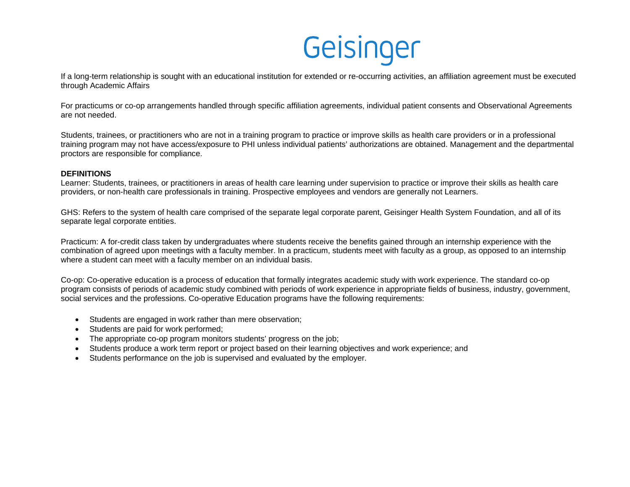If a long-term relationship is sought with an educational institution for extended or re-occurring activities, an affiliation agreement must be executed through Academic Affairs

For practicums or co-op arrangements handled through specific affiliation agreements, individual patient consents and Observational Agreements are not needed.

Students, trainees, or practitioners who are not in a training program to practice or improve skills as health care providers or in a professional training program may not have access/exposure to PHI unless individual patients' authorizations are obtained. Management and the departmental proctors are responsible for compliance.

### **DEFINITIONS**

Learner: Students, trainees, or practitioners in areas of health care learning under supervision to practice or improve their skills as health care providers, or non-health care professionals in training. Prospective employees and vendors are generally not Learners.

GHS: Refers to the system of health care comprised of the separate legal corporate parent, Geisinger Health System Foundation, and all of its separate legal corporate entities.

Practicum: A for-credit class taken by undergraduates where students receive the benefits gained through an internship experience with the combination of agreed upon meetings with a faculty member. In a practicum, students meet with faculty as a group, as opposed to an internship where a student can meet with a faculty member on an individual basis.

Co-op: Co-operative education is a process of education that formally integrates academic study with work experience. The standard co-op program consists of periods of academic study combined with periods of work experience in appropriate fields of business, industry, government, social services and the professions. Co-operative Education programs have the following requirements:

- Students are engaged in work rather than mere observation;
- Students are paid for work performed;
- The appropriate co-op program monitors students' progress on the job;
- Students produce a work term report or project based on their learning objectives and work experience; and
- Students performance on the job is supervised and evaluated by the employer.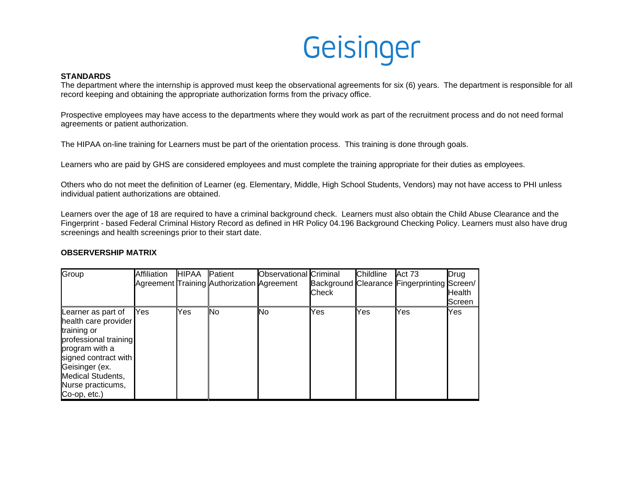### **STANDARDS**

The department where the internship is approved must keep the observational agreements for six (6) years. The department is responsible for all record keeping and obtaining the appropriate authorization forms from the privacy office.

Prospective employees may have access to the departments where they would work as part of the recruitment process and do not need formal agreements or patient authorization.

The HIPAA on-line training for Learners must be part of the orientation process. This training is done through goals.

Learners who are paid by GHS are considered employees and must complete the training appropriate for their duties as employees.

Others who do not meet the definition of Learner (eg. Elementary, Middle, High School Students, Vendors) may not have access to PHI unless individual patient authorizations are obtained.

Learners over the age of 18 are required to have a criminal background check. Learners must also obtain the Child Abuse Clearance and the Fingerprint - based Federal Criminal History Record as defined in HR Policy 04.196 Background Checking Policy. Learners must also have drug screenings and health screenings prior to their start date.

## **OBSERVERSHIP MATRIX**

| Group                                                                                                                                                                                                    | Affiliation | <b>HIPAA</b> | <b>Patient</b><br>Agreement Training Authorization Agreement | Observational Criminal | Check | Childline | Act 73<br>Background Clearance Fingerprinting Screen/ | Drug<br><b>Health</b><br>Screen |
|----------------------------------------------------------------------------------------------------------------------------------------------------------------------------------------------------------|-------------|--------------|--------------------------------------------------------------|------------------------|-------|-----------|-------------------------------------------------------|---------------------------------|
| Learner as part of<br>health care provider<br>training or<br>professional training<br>program with a<br>signed contract with<br>Geisinger (ex.<br>Medical Students,<br>Nurse practicums,<br>Co-op, etc.) | Yes         | Yes          | No                                                           | lNo                    | Yes   | Yes       | Yes                                                   | Yes                             |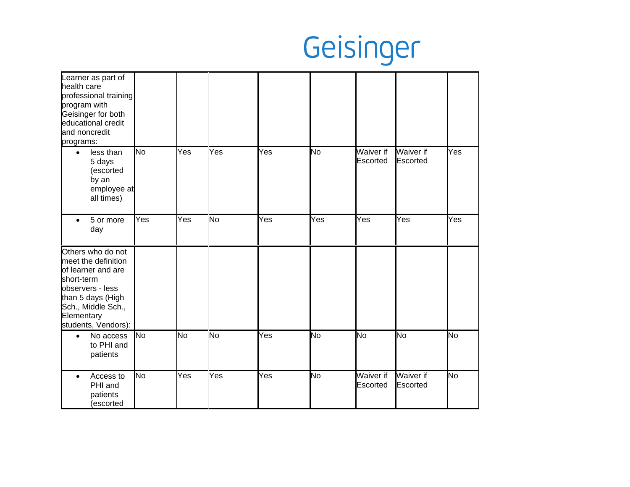| Learner as part of<br>health care<br>professional training<br>program with<br>Geisinger for both<br>educational credit<br>and noncredit<br>programs:                             |                         |     |           |     |     |                       |                              |           |
|----------------------------------------------------------------------------------------------------------------------------------------------------------------------------------|-------------------------|-----|-----------|-----|-----|-----------------------|------------------------------|-----------|
| less than<br>$\bullet$<br>5 days<br>(escorted<br>by an<br>employee at<br>all times)                                                                                              | No                      | Yes | Yes       | Yes | No  | Waiver if<br>Escorted | <b>Waiver if</b><br>Escorted | Yes       |
| 5 or more<br>$\bullet$<br>day                                                                                                                                                    | $\overline{\text{Yes}}$ | Yes | Νo        | Yes | Yes | Yes                   | Yes                          | Yes       |
| Others who do not<br>meet the definition<br>of learner and are<br>short-term<br>observers - less<br>than 5 days (High<br>Sch., Middle Sch.,<br>Elementary<br>students, Vendors): |                         |     |           |     |     |                       |                              |           |
| No access<br>$\bullet$<br>to PHI and<br>patients                                                                                                                                 | No                      | No  | <b>No</b> | Yes | No  | No                    | No                           | <b>No</b> |
| Access to<br>$\bullet$<br>PHI and<br>patients<br>(escorted                                                                                                                       | No                      | Yes | Yes       | Yes | No  | Waiver if<br>Escorted | <b>Waiver if</b><br>Escorted | No        |